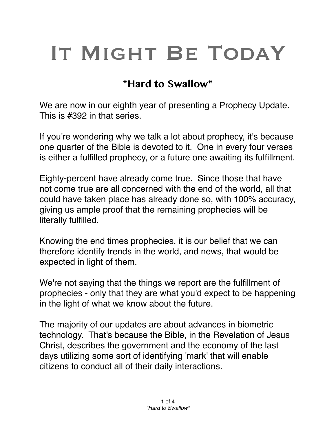# IT MIGHT BE TODAY

# **"Hard to Swallow"**

We are now in our eighth year of presenting a Prophecy Update. This is #392 in that series.

If you're wondering why we talk a lot about prophecy, it's because one quarter of the Bible is devoted to it. One in every four verses is either a fulfilled prophecy, or a future one awaiting its fulfillment.

Eighty-percent have already come true. Since those that have not come true are all concerned with the end of the world, all that could have taken place has already done so, with 100% accuracy, giving us ample proof that the remaining prophecies will be literally fulfilled.

Knowing the end times prophecies, it is our belief that we can therefore identify trends in the world, and news, that would be expected in light of them.

We're not saying that the things we report are the fulfillment of prophecies - only that they are what you'd expect to be happening in the light of what we know about the future.

The majority of our updates are about advances in biometric technology. That's because the Bible, in the Revelation of Jesus Christ, describes the government and the economy of the last days utilizing some sort of identifying 'mark' that will enable citizens to conduct all of their daily interactions.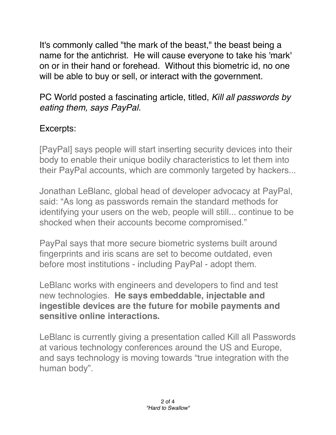It's commonly called "the mark of the beast," the beast being a name for the antichrist. He will cause everyone to take his 'mark' on or in their hand or forehead. Without this biometric id, no one will be able to buy or sell, or interact with the government.

#### PC World posted a fascinating article, titled, *Kill all passwords by eating them, says PayPal.*

## Excerpts:

[PayPal] says people will start inserting security devices into their body to enable their unique bodily characteristics to let them into their PayPal accounts, which are commonly targeted by hackers...

Jonathan LeBlanc, global head of developer advocacy at PayPal, said: "As long as passwords remain the standard methods for identifying your users on the web, people will still... continue to be shocked when their accounts become compromised."

PayPal says that more secure biometric systems built around fingerprints and iris scans are set to become outdated, even before most institutions - including PayPal - adopt them.

LeBlanc works with engineers and developers to find and test new technologies. **He says embeddable, injectable and ingestible devices are the future for mobile payments and sensitive online interactions.**

LeBlanc is currently giving a presentation called Kill all Passwords at various technology conferences around the US and Europe, and says technology is moving towards "true integration with the human body".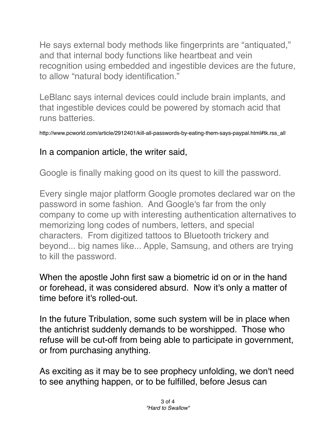He says external body methods like fingerprints are "antiquated," and that internal body functions like heartbeat and vein recognition using embedded and ingestible devices are the future, to allow "natural body identification."

LeBlanc says internal devices could include brain implants, and that ingestible devices could be powered by stomach acid that runs batteries.

http://www.pcworld.com/article/2912401/kill-all-passwords-by-eating-them-says-paypal.html#tk.rss\_all

## In a companion article, the writer said,

Google is finally making good on its quest to kill the password.

Every single major platform Google promotes declared war on the password in some fashion. And Google's far from the only company to come up with interesting authentication alternatives to memorizing long codes of numbers, letters, and special characters. From digitized tattoos to Bluetooth trickery and beyond... big names like... Apple, Samsung, and others are trying to kill the password.

When the apostle John first saw a biometric id on or in the hand or forehead, it was considered absurd. Now it's only a matter of time before it's rolled-out.

In the future Tribulation, some such system will be in place when the antichrist suddenly demands to be worshipped. Those who refuse will be cut-off from being able to participate in government, or from purchasing anything.

As exciting as it may be to see prophecy unfolding, we don't need to see anything happen, or to be fulfilled, before Jesus can